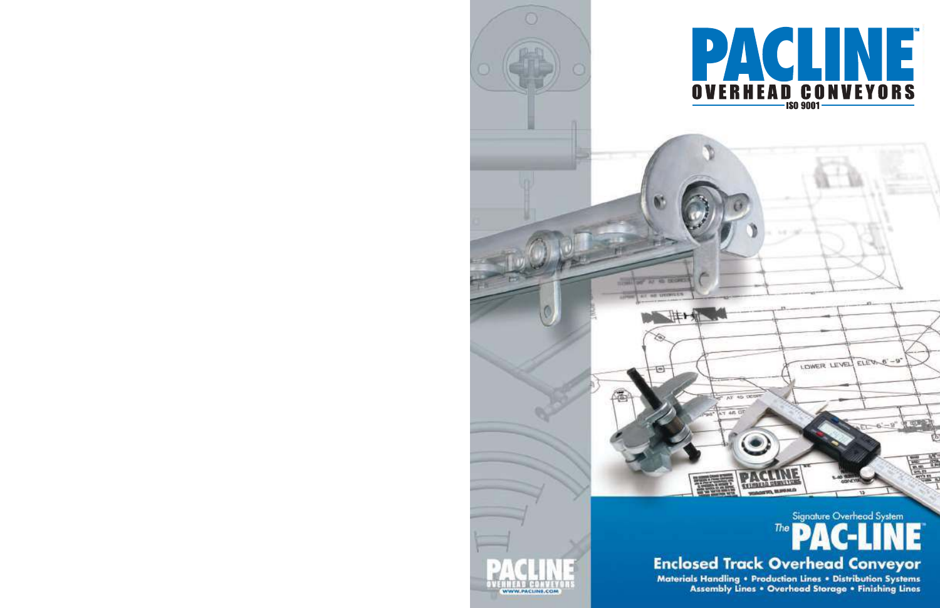

# Signature Overhead System The

LOWER LEVEL ELERNO'-9"

电解

# **Enclosed Track Overhead Conveyor**

**NEAD DAMNEY OF THO, BLUESSLO** 

はト州

 $7.084$ 

 $\leftarrow$ 

Materials Handling . Production Lines . Distribution Systems **Assembly Lines . Overhead Storage . Finishing Lines** 

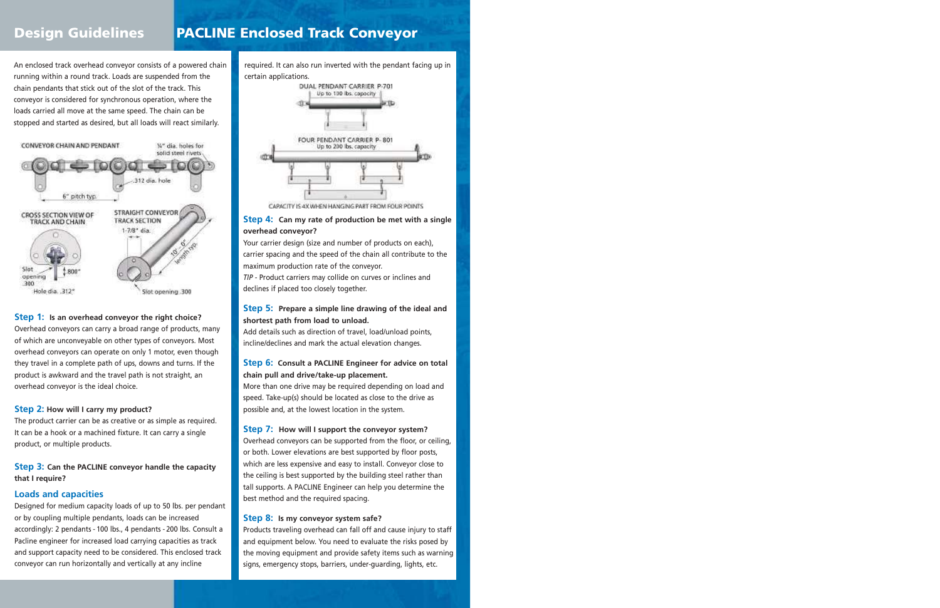# Design Guidelines | PACLINE Enclosed Track Conveyor

An enclosed track overhead conveyor consists of a powered chain running within a round track. Loads are suspended from the chain pendants that stick out of the slot of the track. This conveyor is considered for synchronous operation, where the loads carried all move at the same speed. The chain can be stopped and started as desired, but all loads will react similarly.



#### **Step 1: Is an overhead conveyor the right choice?**

Overhead conveyors can carry a broad range of products, many of which are unconveyable on other types of conveyors. Most overhead conveyors can operate on only 1 motor, even though they travel in a complete path of ups, downs and turns. If the product is awkward and the travel path is not straight, an overhead conveyor is the ideal choice.

#### **Step 2: How will I carry my product?**

The product carrier can be as creative or as simple as required. It can be a hook or a machined fixture. It can carry a single product, or multiple products.

#### **Step 3: Can the PACLINE conveyor handle the capacity that I require?**

#### **Loads and capacities**

Designed for medium capacity loads of up to 50 lbs. per pendant or by coupling multiple pendants, loads can be increased accordingly: 2 pendants - 100 lbs., 4 pendants - 200 lbs. Consult a Pacline engineer for increased load carrying capacities as track and support capacity need to be considered. This enclosed track conveyor can run horizontally and vertically at any incline

required. It can also run inverted with the pendant facing up in certain applications.



CAPACITY IS 4X WHEN HANGING PART FROM FOUR POINTS

#### **Step 4: Can my rate of production be met with a single overhead conveyor?**

Your carrier design (size and number of products on each), carrier spacing and the speed of the chain all contribute to the maximum production rate of the conveyor.

*TIP* - Product carriers may collide on curves or inclines and declines if placed too closely together.

#### **Step 5: Prepare a simple line drawing of the ideal and shortest path from load to unload.**

Add details such as direction of travel, load/unload points, incline/declines and mark the actual elevation changes.

#### **Step 6: Consult a PACLINE Engineer for advice on total chain pull and drive/take-up placement.**

More than one drive may be required depending on load and speed. Take-up(s) should be located as close to the drive as possible and, at the lowest location in the system.

#### **Step 7: How will I support the conveyor system?**

Overhead conveyors can be supported from the floor, or ceiling, or both. Lower elevations are best supported by floor posts, which are less expensive and easy to install. Conveyor close to the ceiling is best supported by the building steel rather than tall supports. A PACLINE Engineer can help you determine the best method and the required spacing.

#### **Step 8: Is my conveyor system safe?**

Products traveling overhead can fall off and cause injury to staff and equipment below. You need to evaluate the risks posed by the moving equipment and provide safety items such as warning signs, emergency stops, barriers, under-guarding, lights, etc.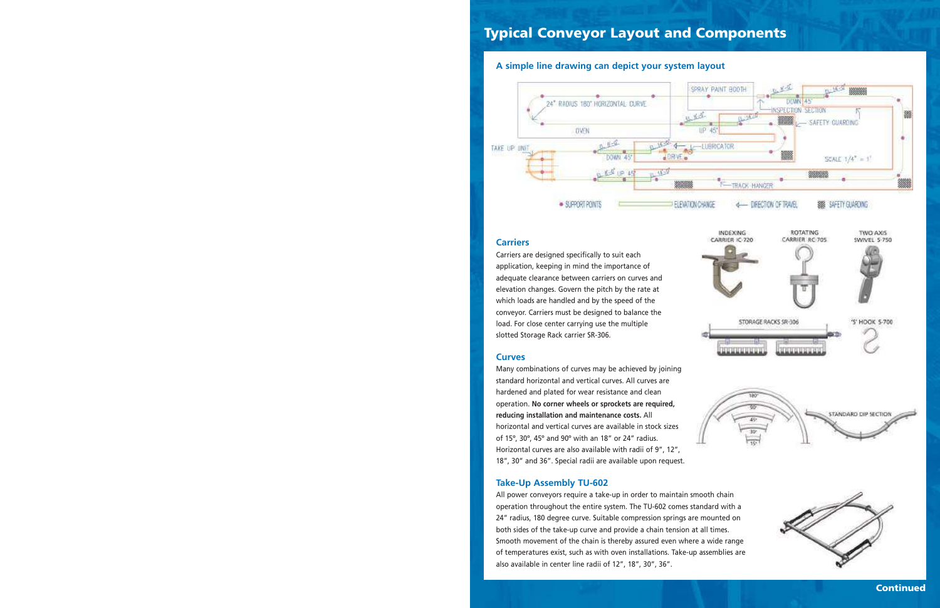# Typical Conveyor Layout and Components

#### **A simple line drawing can depict your system layout**



INDEXING

CARRIER IC-720

#### **Carriers**

Carriers are designed specifically to suit each application, keeping in mind the importance of adequate clearance between carriers on curves and elevation changes. Govern the pitch by the rate at which loads are handled and by the speed of the conveyor. Carriers must be designed to balance the load. For close center carrying use the multiple slotted Storage Rack carrier SR-306.

#### **Curves**

Many combinations of curves may be achieved by joining standard horizontal and vertical curves. All curves are hardened and plated for wear resistance and clean operation. **No corner wheels or sprockets are required, reducing installation and maintenance costs.** All horizontal and vertical curves are available in stock sizes of 15º, 30º, 45º and 90º with an 18" or 24" radius. Horizontal curves are also available with radii of 9", 12", 18", 30" and 36". Special radii are available upon request.

#### **Take-Up Assembly TU-602**

All power conveyors require a take-up in order to maintain smooth chain operation throughout the entire system. The TU-602 comes standard with a 24" radius, 180 degree curve. Suitable compression springs are mounted on both sides of the take-up curve and provide a chain tension at all times. Smooth movement of the chain is thereby assured even where a wide range of temperatures exist, such as with oven installations. Take-up assemblies are also available in center line radii of 12", 18", 30", 36".



ROTATING

CARRIER RC-705

TWO AXIS

CARLIEL C.750



Continued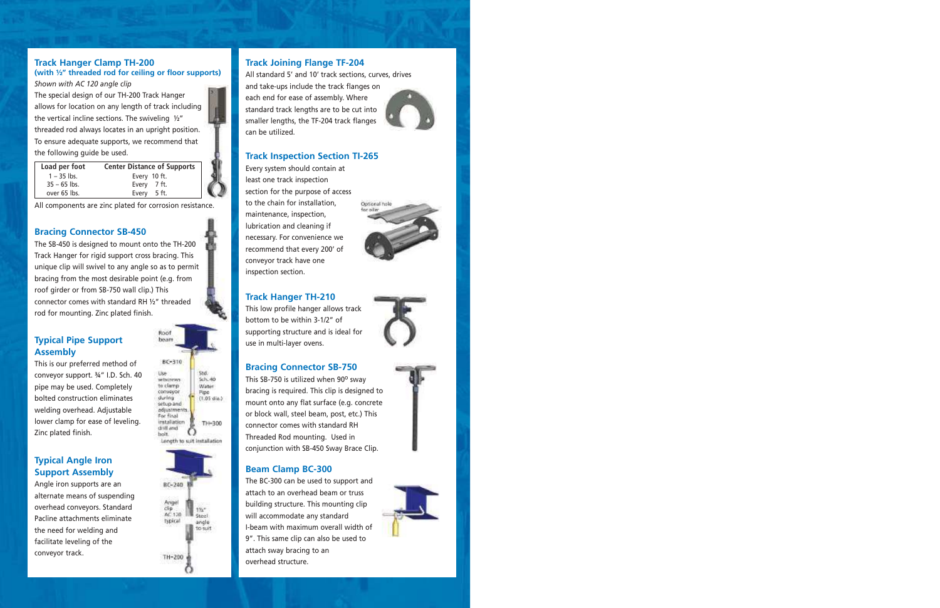### **Track Hanger Clamp TH-200**

#### **(with ½" threaded rod for ceiling or floor supports)** *Shown with AC 120 angle clip*

The special design of our TH-200 Track Hanger allows for location on any length of track including the vertical incline sections. The swiveling  $\frac{1}{2}$ " threaded rod always locates in an upright position. To ensure adequate supports, we recommend that the following guide be used.

| Load per foot  | <b>Center Distance of Supports</b> |  |
|----------------|------------------------------------|--|
| $1 - 35$ lbs.  | Every 10 ft.                       |  |
| $35 - 65$ lbs. | Every 7 ft.                        |  |
| over 65 lbs.   | Every 5 ft.                        |  |

All components are zinc plated for corrosion resistance.

#### **Bracing Connector SB-450**

The SB-450 is designed to mount onto the TH-200 Track Hanger for rigid support cross bracing. This unique clip will swivel to any angle so as to permit bracing from the most desirable point (e.g. from roof girder or from SB-750 wall clip.) This connector comes with standard RH ½" threaded rod for mounting. Zinc plated finish.

### **Typical Pipe Support Assembly**

This is our preferred method of conveyor support. ¾" I.D. Sch. 40 pipe may be used. Completely bolted construction eliminates welding overhead. Adjustable lower clamp for ease of leveling. Zinc plated finish.

### **Typical Angle Iron Support Assembly**

Angle iron supports are an alternate means of suspending overhead conveyors. Standard Pacline attachments eliminate the need for welding and facilitate leveling of the conveyor track.





### **Track Joining Flange TF-204**

All standard 5' and 10' track sections, curves, drives and take-ups include the track flanges on each end for ease of assembly. Where standard track lengths are to be cut into smaller lengths, the TF-204 track flanges can be utilized.



Every system should contain at least one track inspection section for the purpose of access to the chain for installation, maintenance, inspection, lubrication and cleaning if necessary. For convenience we recommend that every 200' of conveyor track have one inspection section.



#### **Track Hanger TH-210**

This low profile hanger allows track bottom to be within 3-1/2" of supporting structure and is ideal for use in multi-layer ovens.



#### **Bracing Connector SB-750**

This SB-750 is utilized when  $90^\circ$  sway bracing is required. This clip is designed to mount onto any flat surface (e.g. concrete or block wall, steel beam, post, etc.) This connector comes with standard RH Threaded Rod mounting. Used in conjunction with SB-450 Sway Brace Clip.

#### **Beam Clamp BC-300**

The BC-300 can be used to support and attach to an overhead beam or truss building structure. This mounting clip will accommodate any standard I-beam with maximum overall width of 9". This same clip can also be used to attach sway bracing to an overhead structure.





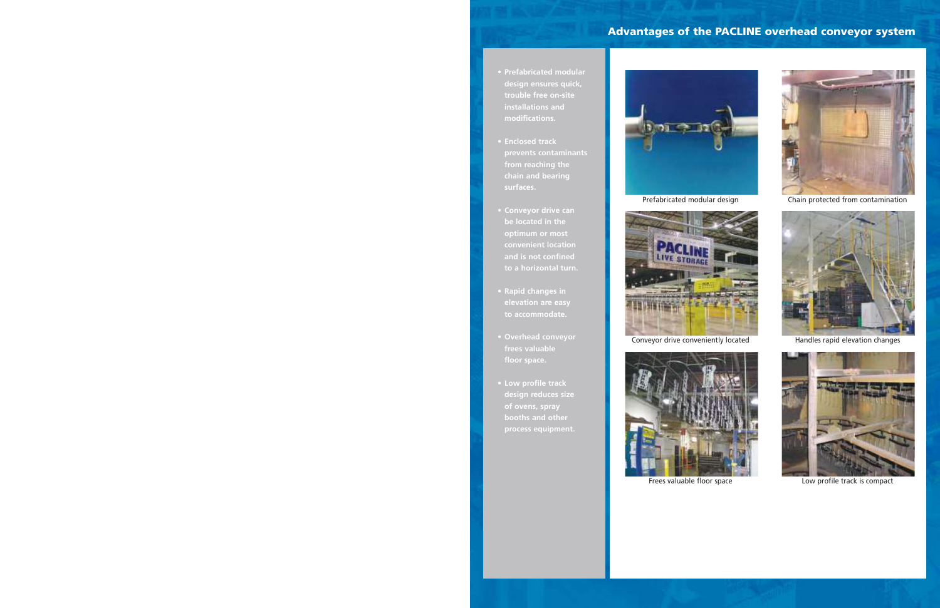## Advantages of the PACLINE overhead conveyor system

- **Prefabricated modular design ensures quick, trouble free on-site installations and modifications.**
- **Enclosed track from reaching the chain and bearing surfaces.**
- **Conveyor drive can be located in the optimum or most convenient location and is not confined**
- **Rapid changes in elevation are easy to accommodate.**
- **Overhead conveyor frees valuable floor space.**
- **Low profile track design reduces size of ovens, spray process equipment.**





Conveyor drive conveniently located Handles rapid elevation changes



Frees valuable floor space The Low profile track is compact



Prefabricated modular design Chain protected from contamination